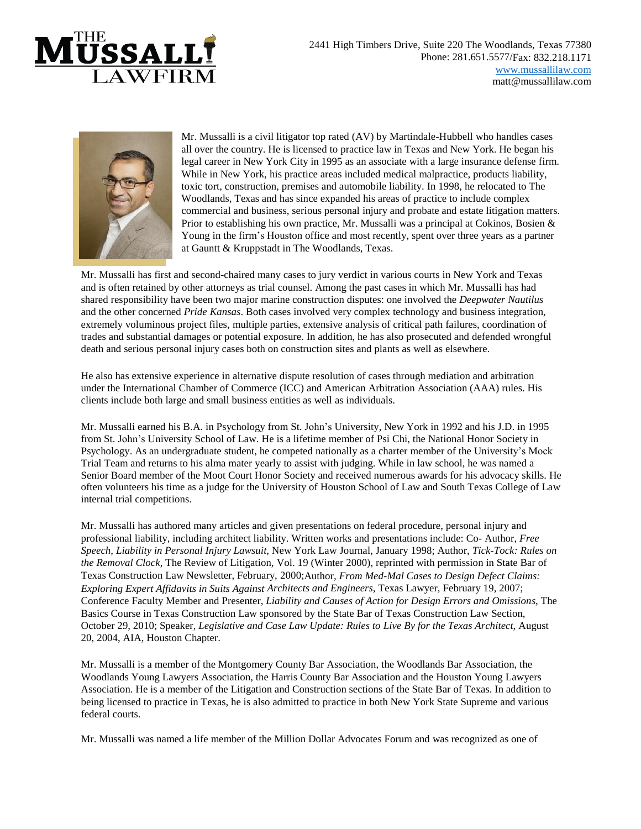



Mr. Mussalli is a civil litigator top rated (AV) by Martindale-Hubbell who handles cases all over the country. He is licensed to practice law in Texas and New York. He began his legal career in New York City in 1995 as an associate with a large insurance defense firm. While in New York, his practice areas included medical malpractice, products liability, toxic tort, construction, premises and automobile liability. In 1998, he relocated to The Woodlands, Texas and has since expanded his areas of practice to include complex commercial and business, serious personal injury and probate and estate litigation matters. Prior to establishing his own practice, Mr. Mussalli was a principal at Cokinos, Bosien  $\&$ Young in the firm's Houston office and most recently, spent over three years as a partner at Gauntt & Kruppstadt in The Woodlands, Texas.

Mr. Mussalli has first and second-chaired many cases to jury verdict in various courts in New York and Texas and is often retained by other attorneys as trial counsel. Among the past cases in which Mr. Mussalli has had shared responsibility have been two major marine construction disputes: one involved the *Deepwater Nautilus*  and the other concerned *Pride Kansas*. Both cases involved very complex technology and business integration, extremely voluminous project files, multiple parties, extensive analysis of critical path failures, coordination of trades and substantial damages or potential exposure. In addition, he has also prosecuted and defended wrongful death and serious personal injury cases both on construction sites and plants as well as elsewhere.

He also has extensive experience in alternative dispute resolution of cases through mediation and arbitration under the International Chamber of Commerce (ICC) and American Arbitration Association (AAA) rules. His clients include both large and small business entities as well as individuals.

Mr. Mussalli earned his B.A. in Psychology from St. John's University, New York in 1992 and his J.D. in 1995 from St. John's University School of Law. He is a lifetime member of Psi Chi, the National Honor Society in Psychology. As an undergraduate student, he competed nationally as a charter member of the University's Mock Trial Team and returns to his alma mater yearly to assist with judging. While in law school, he was named a Senior Board member of the Moot Court Honor Society and received numerous awards for his advocacy skills. He often volunteers his time as a judge for the University of Houston School of Law and South Texas College of Law internal trial competitions.

Mr. Mussalli has authored many articles and given presentations on federal procedure, personal injury and professional liability, including architect liability. Written works and presentations include: Co- Author, *Free Speech, Liability in Personal Injury Lawsuit*, New York Law Journal, January 1998; Author, *Tick-Tock: Rules on the Removal Clock*, The Review of Litigation, Vol. 19 (Winter 2000), reprinted with permission in State Bar of Texas Construction Law Newsletter, February, 2000;Author, *From Med-Mal Cases to Design Defect Claims: Exploring Expert Affidavits in Suits Against Architects and Engineers*, Texas Lawyer, February 19, 2007; Conference Faculty Member and Presenter, *Liability and Causes of Action for Design Errors and Omissions*, The Basics Course in Texas Construction Law sponsored by the State Bar of Texas Construction Law Section, October 29, 2010; Speaker, *Legislative and Case Law Update: Rules to Live By for the Texas Architect*, August 20, 2004, AIA, Houston Chapter.

Mr. Mussalli is a member of the Montgomery County Bar Association, the Woodlands Bar Association, the Woodlands Young Lawyers Association, the Harris County Bar Association and the Houston Young Lawyers Association. He is a member of the Litigation and Construction sections of the State Bar of Texas. In addition to being licensed to practice in Texas, he is also admitted to practice in both New York State Supreme and various federal courts.

Mr. Mussalli was named a life member of the Million Dollar Advocates Forum and was recognized as one of